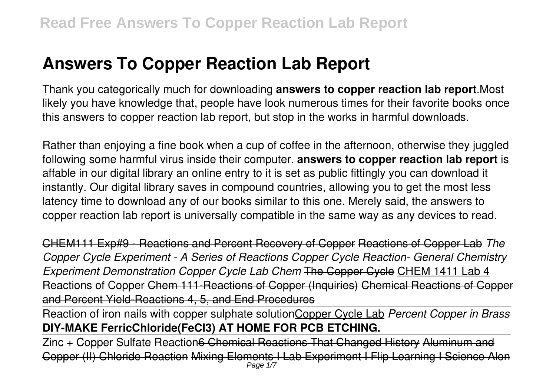# **Answers To Copper Reaction Lab Report**

Thank you categorically much for downloading **answers to copper reaction lab report**.Most likely you have knowledge that, people have look numerous times for their favorite books once this answers to copper reaction lab report, but stop in the works in harmful downloads.

Rather than enjoying a fine book when a cup of coffee in the afternoon, otherwise they juggled following some harmful virus inside their computer. **answers to copper reaction lab report** is affable in our digital library an online entry to it is set as public fittingly you can download it instantly. Our digital library saves in compound countries, allowing you to get the most less latency time to download any of our books similar to this one. Merely said, the answers to copper reaction lab report is universally compatible in the same way as any devices to read.

CHEM111 Exp#9 - Reactions and Percent Recovery of Copper Reactions of Copper Lab *The Copper Cycle Experiment - A Series of Reactions Copper Cycle Reaction- General Chemistry Experiment Demonstration Copper Cycle Lab Chem* The Copper Cycle CHEM 1411 Lab 4 Reactions of Copper Chem 111-Reactions of Copper (Inquiries) Chemical Reactions of Copper and Percent Yield-Reactions 4, 5, and End Procedures

Reaction of iron nails with copper sulphate solutionCopper Cycle Lab *Percent Copper in Brass* **DIY-MAKE FerricChloride(FeCl3) AT HOME FOR PCB ETCHING.**

Zinc + Copper Sulfate Reaction<del>6 Chemical Reactions That Changed History Aluminum and</del> Copper (II) Chloride Reaction Mixing Elements I Lab Experiment I Flip Learning I Science Alon Page 1/7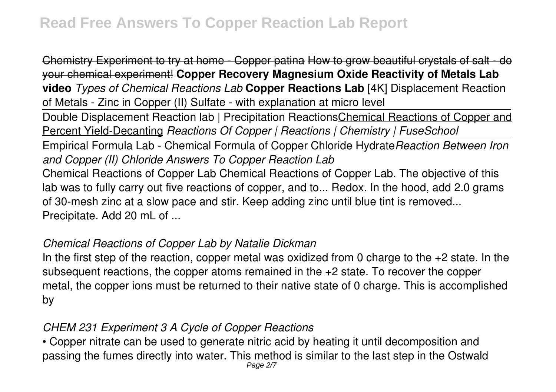Chemistry Experiment to try at home - Copper patina How to grow beautiful crystals of salt - do your chemical experiment! **Copper Recovery Magnesium Oxide Reactivity of Metals Lab video** *Types of Chemical Reactions Lab* **Copper Reactions Lab** [4K] Displacement Reaction of Metals - Zinc in Copper (II) Sulfate - with explanation at micro level

Double Displacement Reaction lab | Precipitation Reactions Chemical Reactions of Copper and Percent Yield-Decanting *Reactions Of Copper | Reactions | Chemistry | FuseSchool*

Empirical Formula Lab - Chemical Formula of Copper Chloride Hydrate*Reaction Between Iron and Copper (II) Chloride Answers To Copper Reaction Lab*

Chemical Reactions of Copper Lab Chemical Reactions of Copper Lab. The objective of this lab was to fully carry out five reactions of copper, and to... Redox. In the hood, add 2.0 grams of 30-mesh zinc at a slow pace and stir. Keep adding zinc until blue tint is removed... Precipitate. Add 20 mL of ...

### *Chemical Reactions of Copper Lab by Natalie Dickman*

In the first step of the reaction, copper metal was oxidized from 0 charge to the  $+2$  state. In the subsequent reactions, the copper atoms remained in the +2 state. To recover the copper metal, the copper ions must be returned to their native state of 0 charge. This is accomplished by

# *CHEM 231 Experiment 3 A Cycle of Copper Reactions*

• Copper nitrate can be used to generate nitric acid by heating it until decomposition and passing the fumes directly into water. This method is similar to the last step in the Ostwald Page 2/7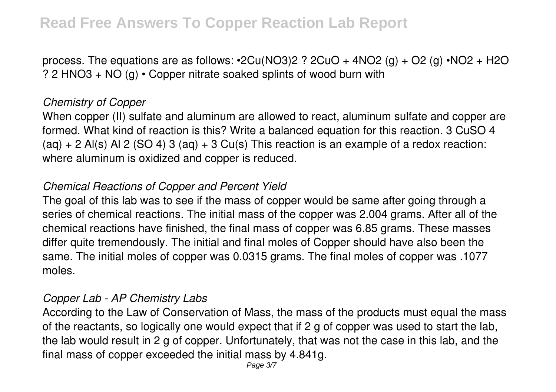process. The equations are as follows:  $\cdot$ 2Cu(NO3)2 ? 2CuO + 4NO2 (g) + O2 (g)  $\cdot$ NO2 + H2O ? 2 HNO3 + NO (g) • Copper nitrate soaked splints of wood burn with

### *Chemistry of Copper*

When copper (II) sulfate and aluminum are allowed to react, aluminum sulfate and copper are formed. What kind of reaction is this? Write a balanced equation for this reaction. 3 CuSO 4  $(aq) + 2$  Al(s) Al 2 (SO 4) 3 (aq) + 3 Cu(s) This reaction is an example of a redox reaction: where aluminum is oxidized and copper is reduced.

### *Chemical Reactions of Copper and Percent Yield*

The goal of this lab was to see if the mass of copper would be same after going through a series of chemical reactions. The initial mass of the copper was 2.004 grams. After all of the chemical reactions have finished, the final mass of copper was 6.85 grams. These masses differ quite tremendously. The initial and final moles of Copper should have also been the same. The initial moles of copper was 0.0315 grams. The final moles of copper was .1077 moles.

### *Copper Lab - AP Chemistry Labs*

According to the Law of Conservation of Mass, the mass of the products must equal the mass of the reactants, so logically one would expect that if 2 g of copper was used to start the lab, the lab would result in 2 g of copper. Unfortunately, that was not the case in this lab, and the final mass of copper exceeded the initial mass by 4.841g.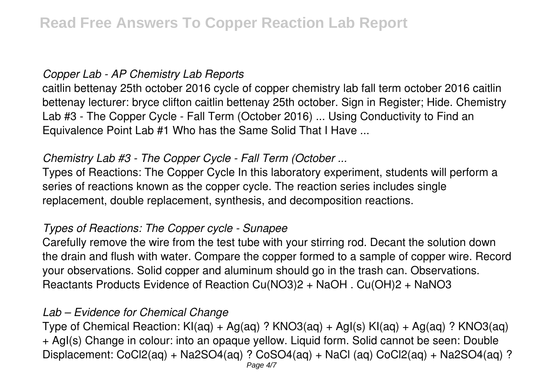### *Copper Lab - AP Chemistry Lab Reports*

caitlin bettenay 25th october 2016 cycle of copper chemistry lab fall term october 2016 caitlin bettenay lecturer: bryce clifton caitlin bettenay 25th october. Sign in Register; Hide. Chemistry Lab #3 - The Copper Cycle - Fall Term (October 2016) ... Using Conductivity to Find an Equivalence Point Lab #1 Who has the Same Solid That I Have ...

# *Chemistry Lab #3 - The Copper Cycle - Fall Term (October ...*

Types of Reactions: The Copper Cycle In this laboratory experiment, students will perform a series of reactions known as the copper cycle. The reaction series includes single replacement, double replacement, synthesis, and decomposition reactions.

### *Types of Reactions: The Copper cycle - Sunapee*

Carefully remove the wire from the test tube with your stirring rod. Decant the solution down the drain and flush with water. Compare the copper formed to a sample of copper wire. Record your observations. Solid copper and aluminum should go in the trash can. Observations. Reactants Products Evidence of Reaction Cu(NO3)2 + NaOH . Cu(OH)2 + NaNO3

### *Lab – Evidence for Chemical Change*

Type of Chemical Reaction:  $Kl(aq) + Ag(aq)$  ?  $KNO3(aq) + Ag(s) Kl(aq) + Ag(aq)$  ?  $KNO3(aq)$ + AgI(s) Change in colour: into an opaque yellow. Liquid form. Solid cannot be seen: Double Displacement: CoCl2(aq) + Na2SO4(aq) ? CoSO4(aq) + NaCl (aq) CoCl2(aq) + Na2SO4(aq) ?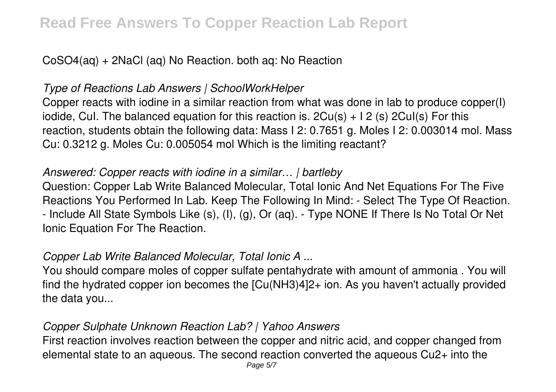# CoSO4(aq) + 2NaCl (aq) No Reaction. both aq: No Reaction

# *Type of Reactions Lab Answers | SchoolWorkHelper*

Copper reacts with iodine in a similar reaction from what was done in lab to produce copper(I) iodide, Cul. The balanced equation for this reaction is.  $2Cu(s) + 12(s)$  2Cul(s) For this reaction, students obtain the following data: Mass I 2: 0.7651 g. Moles I 2: 0.003014 mol. Mass Cu: 0.3212 g. Moles Cu: 0.005054 mol Which is the limiting reactant?

# *Answered: Copper reacts with iodine in a similar… | bartleby*

Question: Copper Lab Write Balanced Molecular, Total Ionic And Net Equations For The Five Reactions You Performed In Lab. Keep The Following In Mind: - Select The Type Of Reaction. - Include All State Symbols Like (s), (I), (g), Or (aq). - Type NONE If There Is No Total Or Net Ionic Equation For The Reaction.

# *Copper Lab Write Balanced Molecular, Total Ionic A ...*

You should compare moles of copper sulfate pentahydrate with amount of ammonia . You will find the hydrated copper ion becomes the [Cu(NH3)4]2+ ion. As you haven't actually provided the data you...

# *Copper Sulphate Unknown Reaction Lab? | Yahoo Answers*

First reaction involves reaction between the copper and nitric acid, and copper changed from elemental state to an aqueous. The second reaction converted the aqueous Cu2+ into the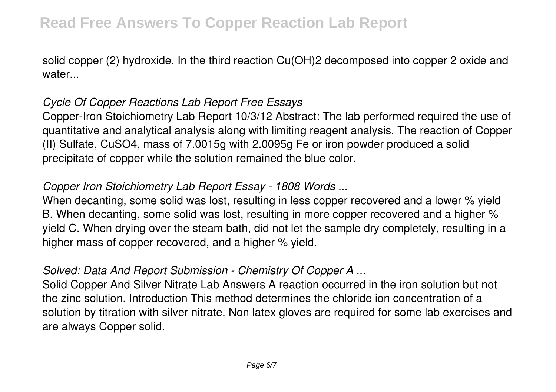solid copper (2) hydroxide. In the third reaction Cu(OH)2 decomposed into copper 2 oxide and water...

# *Cycle Of Copper Reactions Lab Report Free Essays*

Copper-Iron Stoichiometry Lab Report 10/3/12 Abstract: The lab performed required the use of quantitative and analytical analysis along with limiting reagent analysis. The reaction of Copper (II) Sulfate, CuSO4, mass of 7.0015g with 2.0095g Fe or iron powder produced a solid precipitate of copper while the solution remained the blue color.

# *Copper Iron Stoichiometry Lab Report Essay - 1808 Words ...*

When decanting, some solid was lost, resulting in less copper recovered and a lower % yield B. When decanting, some solid was lost, resulting in more copper recovered and a higher % yield C. When drying over the steam bath, did not let the sample dry completely, resulting in a higher mass of copper recovered, and a higher % yield.

# *Solved: Data And Report Submission - Chemistry Of Copper A ...*

Solid Copper And Silver Nitrate Lab Answers A reaction occurred in the iron solution but not the zinc solution. Introduction This method determines the chloride ion concentration of a solution by titration with silver nitrate. Non latex gloves are required for some lab exercises and are always Copper solid.